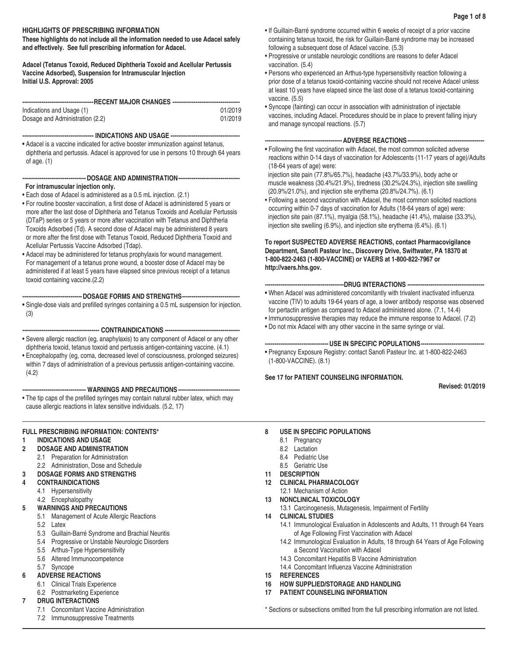# **HIGHLIGHTS OF PRESCRIBING INFORMATION**

**These highlights do not include all the information needed to use Adacel safely and effectively. See full prescribing information for Adacel.**

**Adacel (Tetanus Toxoid, Reduced Diphtheria Toxoid and Acellular Pertussis Vaccine Adsorbed), Suspension for Intramuscular Injection Initial U.S. Approval: 2005**

| Indications and Usage (1)       | 01/2019 |
|---------------------------------|---------|
| Dosage and Administration (2.2) | 01/2019 |

# **------------------------------------- INDICATIONS AND USAGE ------------------------------------**

**•** Adacel is a vaccine indicated for active booster immunization against tetanus, diphtheria and pertussis. Adacel is approved for use in persons 10 through 64 years of age. (1)

#### ---DOSAGE AND ADMINISTRATION-------

### **For intramuscular injection only.**

- Each dose of Adacel is administered as a 0.5 mL injection. (2.1)
- For routine booster vaccination, a first dose of Adacel is administered 5 years or more after the last dose of Diphtheria and Tetanus Toxoids and Acellular Pertussis (DTaP) series or 5 years or more after vaccination with Tetanus and Diphtheria Toxoids Adsorbed (Td). A second dose of Adacel may be administered 8 years or more after the first dose with Tetanus Toxoid, Reduced Diphtheria Toxoid and Acellular Pertussis Vaccine Adsorbed (Tdap).
- Adacel may be administered for tetanus prophylaxis for wound management. For management of a tetanus prone wound, a booster dose of Adacel may be administered if at least 5 years have elapsed since previous receipt of a tetanus toxoid containing vaccine.(2.2)

### **-------------------------------DOSAGE FORMS AND STRENGTHS------------------------------**

**•** Single-dose vials and prefilled syringes containing a 0.5 mL suspension for injection. (3)

#### **---------------------------------------- CONTRAINDICATIONS ---------------------------------------**

- Severe allergic reaction (eg, anaphylaxis) to any component of Adacel or any other diphtheria toxoid, tetanus toxoid and pertussis antigen-containing vaccine. (4.1)
- Encephalopathy (eg, coma, decreased level of consciousness, prolonged seizures) within 7 days of administration of a previous pertussis antigen-containing vaccine. (4.2)

#### **--------------------------------- WARNINGS AND PRECAUTIONS --------------------------------**

• The tip caps of the prefilled syringes may contain natural rubber latex, which may cause allergic reactions in latex sensitive individuals. (5.2, 17)

### **FULL PRESCRIBING INFORMATION: CONTENTS\***

### **1 INDICATIONS AND USAGE**

- **2 DOSAGE AND ADMINISTRATION**
	- 2.1 Preparation for Administration
- 2.2 Administration, Dose and Schedule
- **3 DOSAGE FORMS AND STRENGTHS**

## **4 CONTRAINDICATIONS**

- 4.1 Hypersensitivity
- 4.2 Encephalopathy

# **5 WARNINGS AND PRECAUTIONS**

- 5.1 Management of Acute Allergic Reactions
- 5.2 Latex
- 5.3 Guillain-Barré Syndrome and Brachial Neuritis
- 5.4 Progressive or Unstable Neurologic Disorders
- 5.5 Arthus-Type Hypersensitivity
- 5.6 Altered Immunocompetence
- 5.7 Syncope

# **6 ADVERSE REACTIONS**

- 6.1 Clinical Trials Experience
- 6.2 Postmarketing Experience
- **7 DRUG INTERACTIONS**
	- 7.1 Concomitant Vaccine Administration
	- 7.2 Immunosuppressive Treatments
- If Guillain-Barré syndrome occurred within 6 weeks of receipt of a prior vaccine containing tetanus toxoid, the risk for Guillain-Barré syndrome may be increased following a subsequent dose of Adacel vaccine. (5.3)
- Progressive or unstable neurologic conditions are reasons to defer Adacel vaccination. (5.4)
- Persons who experienced an Arthus-type hypersensitivity reaction following a prior dose of a tetanus toxoid-containing vaccine should not receive Adacel unless at least 10 years have elapsed since the last dose of a tetanus toxoid-containing vaccine. (5.5)
- Syncope (fainting) can occur in association with administration of injectable vaccines, including Adacel. Procedures should be in place to prevent falling injury and manage syncopal reactions. (5.7)

#### **---- ADVERSE REACTIONS--**

**•** Following the first vaccination with Adacel, the most common solicited adverse reactions within 0-14 days of vaccination for Adolescents (11-17 years of age)/Adults (18-64 years of age) were:

 injection site pain (77.8%/65.7%), headache (43.7%/33.9%), body ache or muscle weakness (30.4%/21.9%), tiredness (30.2%/24.3%), injection site swelling (20.9%/21.0%), and injection site erythema (20.8%/24.7%). (6.1)

• Following a second vaccination with Adacel, the most common solicited reactions occurring within 0-7 days of vaccination for Adults (18-64 years of age) were: injection site pain (87.1%), myalgia (58.1%), headache (41.4%), malaise (33.3%), injection site swelling (6.9%), and injection site erythema (6.4%). (6.1)

## **To report SUSPECTED ADVERSE REACTIONS, contact Pharmacovigilance Department, Sanofi Pasteur Inc., Discovery Drive, Swiftwater, PA 18370 at 1-800-822-2463 (1-800-VACCINE) or VAERS at 1-800-822-7967 or http://vaers.hhs.gov.**

### **-----------------------------------------DRUG INTERACTIONS ----------------------------------------**

- When Adacel was administered concomitantly with trivalent inactivated influenza vaccine (TIV) to adults 19-64 years of age, a lower antibody response was observed for pertactin antigen as compared to Adacel administered alone. (7.1, 14.4)
- Immunosuppressive therapies may reduce the immune response to Adacel. (7.2)
- Do not mix Adacel with any other vaccine in the same syringe or vial.

#### **---------------------------------USE IN SPECIFIC POPULATIONS---------------------------------**

**•** Pregnancy Exposure Registry: contact Sanofi Pasteur Inc. at 1-800-822-2463 (1-800-VACCINE). (8.1)

## **See 17 for PATIENT COUNSELING INFORMATION.**

**Revised: 01/2019** 

# **8 USE IN SPECIFIC POPULATIONS**

- 8.1 Pregnancy
- 8.2 Lactation
- 8.4 Pediatric Use
- 8.5 Geriatric Use
- **11 DESCRIPTION**
- **12 CLINICAL PHARMACOLOGY**

#### 12.1 Mechanism of Action **13 NONCLINICAL TOXICOLOGY**

- 13.1 Carcinogenesis, Mutagenesis, Impairment of Fertility
- **14 CLINICAL STUDIES**
	- 14.1 Immunological Evaluation in Adolescents and Adults, 11 through 64 Years of Age Following First Vaccination with Adacel
	- 14.2 Immunological Evaluation in Adults, 18 through 64 Years of Age Following a Second Vaccination with Adacel
	- 14.3 Concomitant Hepatitis B Vaccine Administration
	- 14.4 Concomitant Influenza Vaccine Administration
- **15 REFERENCES**
- **16 HOW SUPPLIED/STORAGE AND HANDLING**
- **17 PATIENT COUNSELING INFORMATION**

\* Sections or subsections omitted from the full prescribing information are not listed.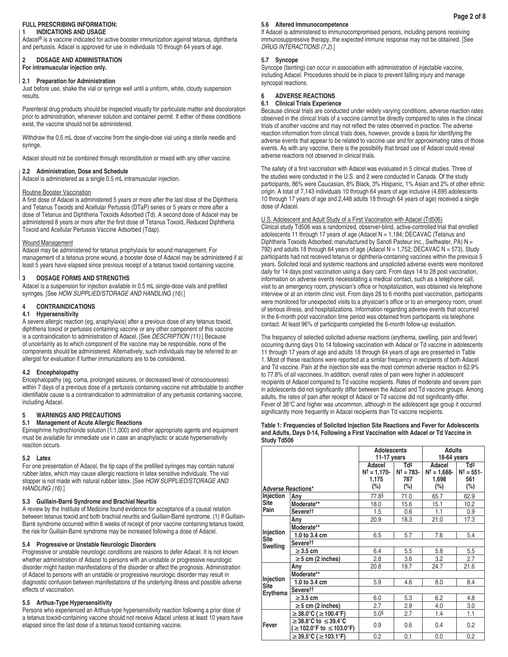### **FULL PRESCRIBING INFORMATION:**

#### **1 INDICATIONS AND USAGE**

Adacel® is a vaccine indicated for active booster immunization against tetanus, diphtheria and pertussis. Adacel is approved for use in individuals 10 through 64 years of age.

#### **2 DOSAGE AND ADMINISTRATION**

**For intramuscular injection only.**

### **2.1 Preparation for Administration**

Just before use, shake the vial or syringe well until a uniform, white, cloudy suspension results.

Parenteral drug products should be inspected visually for particulate matter and discoloration prior to administration, whenever solution and container permit. If either of these conditions exist, the vaccine should not be administered.

Withdraw the 0.5 mL dose of vaccine from the single-dose vial using a sterile needle and syringe.

Adacel should not be combined through reconstitution or mixed with any other vaccine.

#### **2.2 Administration, Dose and Schedule**

Adacel is administered as a single 0.5 mL intramuscular injection.

#### Routine Booster Vaccination

A first dose of Adacel is administered 5 years or more after the last dose of the Diphtheria and Tetanus Toxoids and Acellular Pertussis (DTaP) series or 5 years or more after a dose of Tetanus and Diphtheria Toxoids Adsorbed (Td). A second dose of Adacel may be administered 8 years or more after the first dose of Tetanus Toxoid, Reduced Diphtheria Toxoid and Acellular Pertussis Vaccine Adsorbed (Tdap).

#### Wound Management

Adacel may be administered for tetanus prophylaxis for wound management. For management of a tetanus prone wound, a booster dose of Adacel may be administered if at least 5 years have elapsed since previous receipt of a tetanus toxoid containing vaccine.

### **3 DOSAGE FORMS AND STRENGTHS**

Adacel is a suspension for injection available in 0.5 mL single-dose vials and prefilled syringes. [See *HOW SUPPLIED/STORAGE AND HANDLING (16)*.]

### **4 CONTRAINDICATIONS**

# **4.1 Hypersensitivity**

A severe allergic reaction (eg, anaphylaxis) after a previous dose of any tetanus toxoid, diphtheria toxoid or pertussis containing vaccine or any other component of this vaccine is a contraindication to administration of Adacel. [See *DESCRIPTION (11)*.] Because of uncertainty as to which component of the vaccine may be responsible, none of the components should be administered. Alternatively, such individuals may be referred to an allergist for evaluation if further immunizations are to be considered.

### **4.2 Encephalopathy**

Encephalopathy (eg, coma, prolonged seizures, or decreased level of consciousness) within 7 days of a previous dose of a pertussis containing vaccine not attributable to another identifiable cause is a contraindication to administration of any pertussis containing vaccine, including Adacel.

# **5 WARNINGS AND PRECAUTIONS**

### **5.1 Management of Acute Allergic Reactions**

Epinephrine hydrochloride solution (1:1,000) and other appropriate agents and equipment must be available for immediate use in case an anaphylactic or acute hypersensitivity reaction occurs.

#### **5.2 Latex**

For one presentation of Adacel, the tip caps of the prefilled syringes may contain natural rubber latex, which may cause allergic reactions in latex sensitive individuals. The vial stopper is not made with natural rubber latex. [See *HOW SUPPLIED/STORAGE AND HANDLING (16)*.]

### **5.3 Guillain-Barré Syndrome and Brachial Neuritis**

A review by the Institute of Medicine found evidence for acceptance of a causal relation between tetanus toxoid and both brachial neuritis and Guillain-Barré syndrome. (1) If Guillain-Barré syndrome occurred within 6 weeks of receipt of prior vaccine containing tetanus toxoid, the risk for Guillain-Barré syndrome may be increased following a dose of Adacel.

# **5.4 Progressive or Unstable Neurologic Disorders**

Progressive or unstable neurologic conditions are reasons to defer Adacel. It is not known whether administration of Adacel to persons with an unstable or progressive neurologic disorder might hasten manifestations of the disorder or affect the prognosis. Administration of Adacel to persons with an unstable or progressive neurologic disorder may result in diagnostic confusion between manifestations of the underlying illness and possible adverse effects of vaccination.

### **5.5 Arthus-Type Hypersensitivity**

Persons who experienced an Arthus-type hypersensitivity reaction following a prior dose of a tetanus toxoid-containing vaccine should not receive Adacel unless at least 10 years have elapsed since the last dose of a tetanus toxoid containing vaccine.

#### **5.6 Altered Immunocompetence**

If Adacel is administered to immunocompromised persons, including persons receiving immunosuppressive therapy, the expected immune response may not be obtained. [See *DRUG INTERACTIONS (7.2)*.]

#### **5.7 Syncope**

Syncope (fainting) can occur in association with administration of injectable vaccine, including Adacel. Procedures should be in place to prevent falling injury and manage syncopal reactions.

### **6 ADVERSE REACTIONS**

#### **6.1 Clinical Trials Experience**

Because clinical trials are conducted under widely varying conditions, adverse reaction rates observed in the clinical trials of a vaccine cannot be directly compared to rates in the clinical trials of another vaccine and may not reflect the rates observed in practice. The adverse reaction information from clinical trials does, however, provide a basis for identifying the adverse events that appear to be related to vaccine use and for approximating rates of those events. As with any vaccine, there is the possibility that broad use of Adacel could reveal adverse reactions not observed in clinical trials.

The safety of a first vaccination with Adacel was evaluated in 5 clinical studies. Three of the studies were conducted in the U.S. and 2 were conducted in Canada. Of the study participants, 86% were Caucasian, 8% Black, 3% Hispanic, 1% Asian and 2% of other ethnic origin. A total of 7,143 individuals 10 through 64 years of age inclusive (4,695 adolescents 10 through 17 years of age and 2,448 adults 18 through 64 years of age) received a single dose of Adacel.

U.S. Adolescent and Adult Study of a First Vaccination with Adacel (Td506) Clinical study Td506 was a randomized, observer-blind, active-controlled trial that enrolled adolescents 11 through 17 years of age (Adacel  $N = 1,184$ ; DECAVAC (Tetanus and Diphtheria Toxoids Adsorbed; manufactured by Sanofi Pasteur Inc., Swiftwater, PA) N = 792) and adults 18 through 64 years of age (Adacel N = 1,752; DECAVAC N = 573). Study participants had not received tetanus or diphtheria-containing vaccines within the previous 5 years. Solicited local and systemic reactions and unsolicited adverse events were monitored daily for 14 days post vaccination using a diary card. From days 14 to 28 post vaccination, information on adverse events necessitating a medical contact, such as a telephone call, visit to an emergency room, physician's office or hospitalization, was obtained via telephone interview or at an interim clinic visit. From days 28 to 6 months post vaccination, participants were monitored for unexpected visits to a physician's office or to an emergency room, onset of serious illness, and hospitalizations. Information regarding adverse events that occurred in the 6-month post vaccination time period was obtained from participants via telephone contact. At least 96% of participants completed the 6-month follow-up evaluation.

The frequency of selected solicited adverse reactions (erythema, swelling, pain and fever) occurring during days 0 to 14 following vaccination with Adacel or Td vaccine in adolescents 11 through 17 years of age and adults 18 through 64 years of age are presented in Table 1. Most of these reactions were reported at a similar frequency in recipients of both Adacel and Td vaccine. Pain at the injection site was the most common adverse reaction in 62.9% to 77.8% of all vaccinees. In addition, overall rates of pain were higher in adolescent recipients of Adacel compared to Td vaccine recipients. Rates of moderate and severe pain in adolescents did not significantly differ between the Adacel and Td vaccine groups. Among adults, the rates of pain after receipt of Adacel or Td vaccine did not significantly differ. Fever of 38°C and higher was uncommon, although in the adolescent age group it occurred significantly more frequently in Adacel recipients than Td vaccine recipients.

#### **Table 1: Frequencies of Solicited Injection Site Reactions and Fever for Adolescents and Adults, Days 0-14, Following a First Vaccination with Adacel or Td Vaccine in Study Td506**

|                           |                                                                     | <b>Adolescents</b><br>11-17 years               |                                               | <b>Adults</b><br>18-64 years                      |                                               |
|---------------------------|---------------------------------------------------------------------|-------------------------------------------------|-----------------------------------------------|---------------------------------------------------|-----------------------------------------------|
| <b>Adverse Reactions*</b> |                                                                     | Adacel<br>$N^{\dagger} = 1,170$<br>1,175<br>(%) | Td‡<br>$N^{\dagger} = 783 -$<br>787<br>$(\%)$ | Adacel<br>$N^{\dagger} = 1,688$ -<br>1,698<br>(%) | Td‡<br>$N^{\dagger} = 551 -$<br>561<br>$(\%)$ |
| Injection                 | Any                                                                 | 77.8 <sup>§</sup>                               | 71.0                                          | 65.7                                              | 62.9                                          |
| <b>Site</b>               | Moderate**                                                          | 18.0                                            | 15.6                                          | 15.1                                              | 10.2                                          |
| Pain                      | Severett                                                            | 1.5                                             | 0.6                                           | 1.1                                               | 0.9                                           |
|                           | Any                                                                 | 20.9                                            | 18.3                                          | 21.0                                              | 17.3                                          |
|                           | Moderate**                                                          |                                                 |                                               |                                                   |                                               |
| Injection<br><b>Site</b>  | 1.0 to 3.4 cm                                                       | 6.5                                             | 5.7                                           | 7.6                                               | 5.4                                           |
| <b>Swelling</b>           | Severett                                                            |                                                 |                                               |                                                   |                                               |
|                           | $\geq$ 3.5 cm                                                       | 6.4                                             | 5.5                                           | 5.8                                               | 5.5                                           |
|                           | $\geq$ 5 cm (2 inches)                                              | 2.8                                             | 3.6                                           | 3.2                                               | 2.7                                           |
|                           | Any                                                                 | 20.8                                            | 19.7                                          | 24.7                                              | 21.6                                          |
|                           | Moderate**                                                          |                                                 |                                               |                                                   |                                               |
| Injection<br><b>Site</b>  | 1.0 to 3.4 cm                                                       | 5.9                                             | 4.6                                           | 8.0                                               | 8.4                                           |
| Erythema                  | Severett                                                            |                                                 |                                               |                                                   |                                               |
|                           | $\geq$ 3.5 cm                                                       | 6.0                                             | 5.3                                           | 6.2                                               | 4.8                                           |
|                           | $\geq$ 5 cm (2 inches)                                              | 2.7                                             | 2.9                                           | 4.0                                               | 3.0                                           |
|                           | $\geq$ 38.0°C ( $\geq$ 100.4°F)                                     | 5.0 <sup>§</sup>                                | 2.7                                           | 1.4                                               | 1.1                                           |
| Fever                     | $\geq$ 38.8°C to $\leq$ 39.4°C<br>$\geq$ 102.0°F to $\leq$ 103.0°F) | 0.9                                             | 0.6                                           | 0.4                                               | 0.2                                           |
|                           | $\geq$ 39.5°C ( $\geq$ 103.1°F)                                     | 0.2                                             | 0.1                                           | 0.0                                               | 0.2                                           |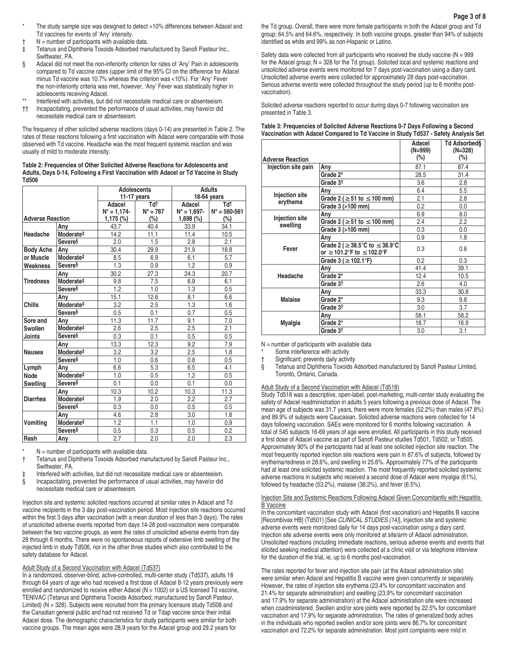- $N =$  number of participants with available data.
- ‡ Tetanus and Diphtheria Toxoids Adsorbed manufactured by Sanofi Pasteur Inc., Swiftwater, PA.
- § Adacel did not meet the non-inferiority criterion for rates of 'Any' Pain in adolescents compared to Td vaccine rates (upper limit of the 95% CI on the difference for Adacel minus Td vaccine was 10.7% whereas the criterion was <10%). For 'Any' Fever the non-inferiority criteria was met, however, 'Any' Fever was statistically higher in adolescents receiving Adacel.
- Interfered with activities, but did not necessitate medical care or absenteeism.
- †† Incapacitating, prevented the performance of usual activities, may have/or did necessitate medical care or absenteeism.

The frequency of other solicited adverse reactions (days 0-14) are presented in Table 2. The rates of these reactions following a first vaccination with Adacel were comparable with those observed with Td vaccine. Headache was the most frequent systemic reaction and was usually of mild to moderate intensity.

**Table 2: Frequencies of Other Solicited Adverse Reactions for Adolescents and Adults, Days 0-14, Following a First Vaccination with Adacel or Td Vaccine in Study Td506**

|                         |                            |                         | <b>Adolescents</b><br>11-17 years | <b>Adults</b><br>18-64 years |                          |  |
|-------------------------|----------------------------|-------------------------|-----------------------------------|------------------------------|--------------------------|--|
|                         |                            | Adacel<br>$N^* = 1,174$ | tbT<br>$N^* = 787$                | Adacel<br>$N^* = 1,697-$     | †bT<br>$N^* = 560 - 561$ |  |
| <b>Adverse Reaction</b> |                            | $1,175$ (%)             | (%)                               | 1,698(%)                     | (%)                      |  |
|                         | Any                        | 43.7                    | 40.4                              | 33.9                         | 34.1                     |  |
| Headache                | Moderate <sup>#</sup>      | 14.2                    | 11.1                              | 11.4                         | 10.5                     |  |
|                         | <b>Severe</b> <sup>§</sup> | 2.0                     | 1.5                               | 2.8                          | 2.1                      |  |
| <b>Body Ache</b>        | Any                        | 30.4                    | 29.9                              | 21.9                         | 18.8                     |  |
| or Muscle               | Moderate <sup>#</sup>      | 8.5                     | 6.9                               | 6.1                          | 5.7                      |  |
| Weakness                | Severe <sup>§</sup>        | 1.3                     | 0.9                               | 1.2                          | 0.9                      |  |
|                         | Any                        | 30.2                    | 27.3                              | 24.3                         | 20.7                     |  |
| <b>Tiredness</b>        | Moderate <sup>#</sup>      | 9.8                     | 7.5                               | 6.9                          | 6.1                      |  |
|                         | Severe <sup>§</sup>        | 1.2                     | 1.0                               | 1.3                          | 0.5                      |  |
|                         | Any                        | 15.1                    | 12.6                              | 8.1                          | 6.6                      |  |
| <b>Chills</b>           | Moderate <sup>#</sup>      | 3.2                     | 2.5                               | 1.3                          | 1.6                      |  |
|                         | Severe <sup>§</sup>        | 0.5                     | 0.1                               | 0.7                          | 0.5                      |  |
| Sore and                | Any                        | 11.3                    | 11.7                              | 9.1                          | 7.0                      |  |
| Swollen                 | Moderate <sup>#</sup>      | 2.6                     | 2.5                               | 2.5                          | 2.1                      |  |
| Joints                  | Severe <sup>§</sup>        | 0.3                     | 0.1                               | 0.5                          | 0.5                      |  |
|                         | Any                        | 13.3                    | 12.3                              | 9.2                          | 7.9                      |  |
| Nausea                  | Moderate <sup>#</sup>      | 3.2                     | 3.2                               | 2.5                          | 1.8                      |  |
|                         | Severe <sup>§</sup>        | 1.0                     | 0.6                               | 0.8                          | 0.5                      |  |
| Lymph                   | Any                        | 6.6                     | 5.3                               | 6.5                          | 4.1                      |  |
| Node                    | Moderate <sup>#</sup>      | 1.0                     | 0.5                               | 1.2                          | 0.5                      |  |
| <b>Swelling</b>         | Severe <sup>§</sup>        | 0.1                     | 0.0                               | 0.1                          | 0.0                      |  |
|                         | Any                        | 10.3                    | 10.2                              | 10.3                         | 11.3                     |  |
| <b>Diarrhea</b>         | Moderate <sup>#</sup>      | 1.9                     | 2.0                               | 2.2                          | 2.7                      |  |
|                         | Severe <sup>§</sup>        | 0.3                     | 0.0                               | 0.5                          | 0.5                      |  |
|                         | Any                        | 4.6                     | 2.8                               | 3.0                          | 1.8                      |  |
| <b>Vomiting</b>         | Moderate <sup>#</sup>      | 1.2                     | 1.1                               | 1.0                          | 0.9                      |  |
|                         | Severe <sup>§</sup>        | 0.5                     | 0.3                               | 0.5                          | 0.2                      |  |
| Rash                    | Any                        | 2.7                     | 2.0                               | 2.0                          | 2.3                      |  |

 $N =$  number of participants with available data.

† Tetanus and Diphtheria Toxoids Adsorbed manufactured by Sanofi Pasteur Inc., Swiftwater, PA.

‡ Interfered with activities, but did not necessitate medical care or absenteeism.

§ Incapacitating, prevented the performance of usual activities, may have/or did necessitate medical care or absenteeism.

Injection site and systemic solicited reactions occurred at similar rates in Adacel and Td vaccine recipients in the 3 day post-vaccination period. Most injection site reactions occurred within the first 3 days after vaccination (with a mean duration of less than 3 days). The rates of unsolicited adverse events reported from days 14-28 post-vaccination were comparable between the two vaccine groups, as were the rates of unsolicited adverse events from day 28 through 6 months. There were no spontaneous reports of extensive limb swelling of the injected limb in study Td506, nor in the other three studies which also contributed to the safety database for Adacel.

#### Adult Study of a Second Vaccination with Adacel (Td537)

In a randomized, observer-blind, active-controlled, multi-center study (Td537), adults 18 through 64 years of age who had received a first dose of Adacel 8-12 years previously were enrolled and randomized to receive either Adacel ( $N = 1002$ ) or a US licensed Td vaccine, TENIVAC (Tetanus and Diphtheria Toxoids Adsorbed; manufactured by Sanofi Pasteur, Limited) ( $N = 328$ ). Subjects were recruited from the primary licensure study Td506 and the Canadian general public and had not received Td or Tdap vaccine since their initial Adacel dose. The demographic characteristics for study participants were similar for both vaccine groups. The mean ages were 28.9 years for the Adacel group and 29.2 years for

the Td group. Overall, there were more female participants in both the Adacel group and Td group; 64.5% and 64.6%, respectively. In both vaccine groups, greater than 94% of subjects identified as white and 99% as non-Hispanic or Latino.

Safety data were collected from all participants who received the study vaccine ( $N = 999$ ) for the Adacel group; N = 328 for the Td group). Solicited local and systemic reactions and unsolicited adverse events were monitored for 7 days post-vaccination using a diary card. Unsolicited adverse events were collected for approximately 28 days post-vaccination. Serious adverse events were collected throughout the study period (up to 6 months postvaccination).

Solicited adverse reactions reported to occur during days 0-7 following vaccination are presented in Table 3.

#### **Table 3: Frequencies of Solicited Adverse Reactions 0-7 Days Following a Second Vaccination with Adacel Compared to Td Vaccine in Study Td537 - Safety Analysis Set**

| <b>Adverse Reaction</b>           |                                                                                 | Adacel<br>(N=999)<br>$(\%)$ | Td Adsorbed§<br>$(N=328)$<br>(%) |
|-----------------------------------|---------------------------------------------------------------------------------|-----------------------------|----------------------------------|
| Injection site pain               | Any                                                                             | 87.1                        | 87.4                             |
|                                   | Grade 2*                                                                        | 28.5                        | 31.4                             |
|                                   | Grade 3 <sup>+</sup>                                                            | 3.6                         | 2.8                              |
| Injection site                    | Any                                                                             | 6.4                         | 5.5                              |
| erythema                          | Grade 2 ( $\geq$ 51 to $\leq$ 100 mm)                                           | 2.1                         | 2.8                              |
|                                   | Grade 3 (>100 mm)                                                               | 0.2                         | 0.0                              |
|                                   | Any                                                                             | 6.9                         | 8.0                              |
| <b>Injection site</b><br>swelling | Grade 2 ( $\geq$ 51 to $\leq$ 100 mm)                                           | 2.4                         | 2.2                              |
|                                   | Grade 3 (>100 mm)                                                               | 0.3                         | 0.0                              |
|                                   | Any                                                                             | 0.9                         | 1.8                              |
| Fever                             | Grade 2 ( $\geq$ 38.5°C to $\leq$ 38.9°C<br>or $\geq$ 101.2°F to $\leq$ 102.0°F | 0.3                         | 0.6                              |
|                                   | Grade $3 (=102.1^{\circ}F)$                                                     | 0.2                         | 0.3                              |
|                                   | Any                                                                             | 41.4                        | 39.1                             |
| Headache                          | Grade 2*                                                                        | 12.4                        | 10.5                             |
|                                   | Grade 3 <sup>+</sup>                                                            | 2.6                         | 4.0                              |
|                                   | Any                                                                             | 33.3                        | 30.8                             |
| <b>Malaise</b>                    | Grade 2*                                                                        | 9.3                         | 9.8                              |
|                                   | Grade 3 <sup>t</sup>                                                            | 3.0                         | 3.7                              |
|                                   | Any                                                                             | 58.1                        | 58.2                             |
| <b>Myalgia</b>                    | Grade 2*                                                                        | 18.7                        | 16.9                             |
|                                   | Grade 3 <sup>+</sup>                                                            | 3.0                         | 3.1                              |

 $N =$  number of participants with available data

Some interference with activity

† Significant; prevents daily activity

§ Tetanus and Diphtheria Toxoids Adsorbed manufactured by Sanofi Pasteur Limited, Toronto, Ontario, Canada.

#### Adult Study of a Second Vaccination with Adacel (Td518)

Study Td518 was a descriptive, open-label, post-marketing, multi-center study evaluating the safety of Adacel readministration in adults 5 years following a previous dose of Adacel. The mean age of subjects was 31.7 years, there were more females (52.2%) than males (47.8%) and 89.9% of subjects were Caucasian. Solicited adverse reactions were collected for 14 days following vaccination. SAEs were monitored for 6 months following vaccination. A total of 545 subjects 16-69 years of age were enrolled. All participants in this study received a first dose of Adacel vaccine as part of Sanofi Pasteur studies Td501, Td502, or Td505. Approximately 90% of the participants had at least one solicited injection site reaction. The most frequently reported injection site reactions were pain in 87.6% of subjects, followed by erythema/redness in 28.6%, and swelling in 25.6%. Approximately 77% of the participants had at least one solicited systemic reaction. The most frequently reported solicited systemic adverse reactions in subjects who received a second dose of Adacel were myalgia (61%), followed by headache (53.2%), malaise (38.2%), and fever (6.5%).

## Injection Site and Systemic Reactions Following Adacel Given Concomitantly with Hepatitis B Vaccine

In the concomitant vaccination study with Adacel (first vaccination) and Hepatitis B vaccine [Recombivax HB] (Td501) [See *CLINICAL STUDIES (14)*], injection site and systemic adverse events were monitored daily for 14 days post-vaccination using a diary card. Injection site adverse events were only monitored at site/arm of Adacel administration. Unsolicited reactions (including immediate reactions, serious adverse events and events that elicited seeking medical attention) were collected at a clinic visit or via telephone interview for the duration of the trial, ie, up to 6 months post-vaccination.

The rates reported for fever and injection site pain (at the Adacel administration site) were similar when Adacel and Hepatitis B vaccine were given concurrently or separately. However, the rates of injection site erythema (23.4% for concomitant vaccination and 21.4% for separate administration) and swelling (23.9% for concomitant vaccination and 17.9% for separate administration) at the Adacel administration site were increased when coadministered. Swollen and/or sore joints were reported by 22.5% for concomitant vaccination and 17.9% for separate administration. The rates of generalized body aches in the individuals who reported swollen and/or sore joints were 86.7% for concomitant vaccination and 72.2% for separate administration. Most joint complaints were mild in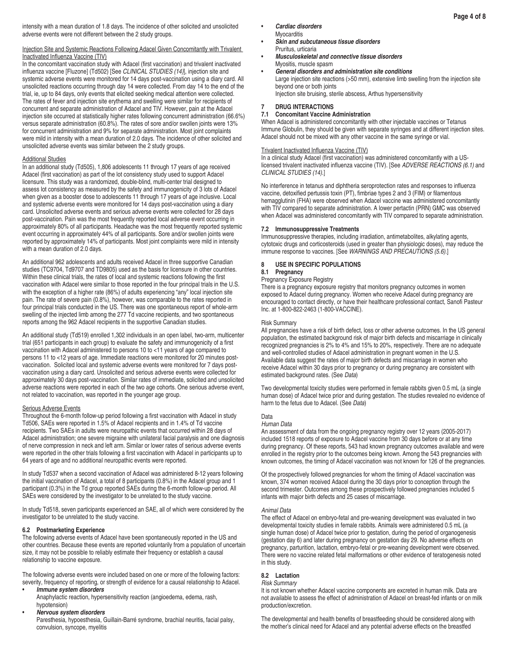intensity with a mean duration of 1.8 days. The incidence of other solicited and unsolicited adverse events were not different between the 2 study groups.

#### Injection Site and Systemic Reactions Following Adacel Given Concomitantly with Trivalent Inactivated Influenza Vaccine (TIV)

In the concomitant vaccination study with Adacel (first vaccination) and trivalent inactivated influenza vaccine [Fluzone] (Td502) [See *CLINICAL STUDIES (14)*], injection site and systemic adverse events were monitored for 14 days post-vaccination using a diary card. All unsolicited reactions occurring through day 14 were collected. From day 14 to the end of the trial, ie, up to 84 days, only events that elicited seeking medical attention were collected. The rates of fever and injection site erythema and swelling were similar for recipients of concurrent and separate administration of Adacel and TIV. However, pain at the Adacel injection site occurred at statistically higher rates following concurrent administration (66.6%) versus separate administration (60.8%). The rates of sore and/or swollen joints were 13% for concurrent administration and 9% for separate administration. Most joint complaints were mild in intensity with a mean duration of 2.0 days. The incidence of other solicited and unsolicited adverse events was similar between the 2 study groups.

### Additional Studies

In an additional study (Td505), 1,806 adolescents 11 through 17 years of age received Adacel (first vaccination) as part of the lot consistency study used to support Adacel licensure. This study was a randomized, double-blind, multi-center trial designed to assess lot consistency as measured by the safety and immunogenicity of 3 lots of Adacel when given as a booster dose to adolescents 11 through 17 years of age inclusive. Local and systemic adverse events were monitored for 14 days post-vaccination using a diary card. Unsolicited adverse events and serious adverse events were collected for 28 days post-vaccination. Pain was the most frequently reported local adverse event occurring in approximately 80% of all participants. Headache was the most frequently reported systemic event occurring in approximately 44% of all participants. Sore and/or swollen joints were reported by approximately 14% of participants. Most joint complaints were mild in intensity with a mean duration of 2.0 days.

An additional 962 adolescents and adults received Adacel in three supportive Canadian studies (TC9704, Td9707 and TD9805) used as the basis for licensure in other countries. Within these clinical trials, the rates of local and systemic reactions following the first vaccination with Adacel were similar to those reported in the four principal trials in the U.S. with the exception of a higher rate (86%) of adults experiencing "any" local injection site pain. The rate of severe pain (0.8%), however, was comparable to the rates reported in four principal trials conducted in the US. There was one spontaneous report of whole-arm swelling of the injected limb among the 277 Td vaccine recipients, and two spontaneous reports among the 962 Adacel recipients in the supportive Canadian studies.

An additional study (Td519) enrolled 1,302 individuals in an open label, two-arm, multicenter trial (651 participants in each group) to evaluate the safety and immunogenicity of a first vaccination with Adacel administered to persons 10 to <11 years of age compared to persons 11 to <12 years of age. Immediate reactions were monitored for 20 minutes postvaccination. Solicited local and systemic adverse events were monitored for 7 days postvaccination using a diary card. Unsolicited and serious adverse events were collected for approximately 30 days post-vaccination. Similar rates of immediate, solicited and unsolicited adverse reactions were reported in each of the two age cohorts. One serious adverse event, not related to vaccination, was reported in the younger age group.

#### Serious Adverse Events

Throughout the 6-month follow-up period following a first vaccination with Adacel in study Td506, SAEs were reported in 1.5% of Adacel recipients and in 1.4% of Td vaccine recipients. Two SAEs in adults were neuropathic events that occurred within 28 days of Adacel administration; one severe migraine with unilateral facial paralysis and one diagnosis of nerve compression in neck and left arm. Similar or lower rates of serious adverse events were reported in the other trials following a first vaccination with Adacel in participants up to 64 years of age and no additional neuropathic events were reported.

In study Td537 when a second vaccination of Adacel was administered 8-12 years following the initial vaccination of Adacel, a total of 8 participants (0.8%) in the Adacel group and 1 participant (0.3%) in the Td group reported SAEs during the 6-month follow-up period. All SAEs were considered by the investigator to be unrelated to the study vaccine.

In study Td518, seven participants experienced an SAE, all of which were considered by the investigator to be unrelated to the study vaccine.

#### **6.2 Postmarketing Experience**

The following adverse events of Adacel have been spontaneously reported in the US and other countries. Because these events are reported voluntarily from a population of uncertain size, it may not be possible to reliably estimate their frequency or establish a causal relationship to vaccine exposure.

The following adverse events were included based on one or more of the following factors: severity, frequency of reporting, or strength of evidence for a causal relationship to Adacel.

- *Immune system disorders* Anaphylactic reaction, hypersensitivity reaction (angioedema, edema, rash, hypotension)
- *Nervous system disorders*

 Paresthesia, hypoesthesia, Guillain-Barré syndrome, brachial neuritis, facial palsy, convulsion, syncope, myelitis

- *Cardiac disorders*
- **Myocarditis** • *Skin and subcutaneous tissue disorders*
- Pruritus, urticaria • *Musculoskeletal and connective tissue disorders* Myositis, muscle spasm
- *General disorders and administration site conditions*

 Large injection site reactions (>50 mm), extensive limb swelling from the injection site beyond one or both joints

Injection site bruising, sterile abscess, Arthus hypersensitivity

### **7 DRUG INTERACTIONS**

### **7.1 Concomitant Vaccine Administration**

When Adacel is administered concomitantly with other injectable vaccines or Tetanus Immune Globulin, they should be given with separate syringes and at different injection sites. Adacel should not be mixed with any other vaccine in the same syringe or vial.

### Trivalent Inactivated Influenza Vaccine (TIV)

In a clinical study Adacel (first vaccination) was administered concomitantly with a USlicensed trivalent inactivated influenza vaccine (TIV). [See *ADVERSE REACTIONS (6.1)* and *CLINICAL STUDIES (14)*.]

No interference in tetanus and diphtheria seroprotection rates and responses to influenza vaccine, detoxified pertussis toxin (PT), fimbriae types 2 and 3 (FIM) or filamentous hemagglutinin (FHA) were observed when Adacel vaccine was administered concomitantly with TIV compared to separate administration. A lower pertactin (PRN) GMC was observed when Adacel was administered concomitantly with TIV compared to separate administration.

### **7.2 Immunosuppressive Treatments**

Immunosuppressive therapies, including irradiation, antimetabolites, alkylating agents, cytotoxic drugs and corticosteroids (used in greater than physiologic doses), may reduce the immune response to vaccines. [See *WARNINGS AND PRECAUTIONS (5.6)*.]

# **8 USE IN SPECIFIC POPULATIONS**

# **8.1 Pregnancy**

# Pregnancy Exposure Registry

There is a pregnancy exposure registry that monitors pregnancy outcomes in women exposed to Adacel during pregnancy. Women who receive Adacel during pregnancy are encouraged to contact directly, or have their healthcare professional contact, Sanofi Pasteur Inc. at 1-800-822-2463 (1-800-VACCINE).

### Risk Summary

All pregnancies have a risk of birth defect, loss or other adverse outcomes. In the US general population, the estimated background risk of major birth defects and miscarriage in clinically recognized pregnancies is 2% to 4% and 15% to 20%, respectively. There are no adequate and well-controlled studies of Adacel administration in pregnant women in the U.S. Available data suggest the rates of major birth defects and miscarriage in women who receive Adacel within 30 days prior to pregnancy or during pregnancy are consistent with estimated background rates. (See *Data*)

Two developmental toxicity studies were performed in female rabbits given 0.5 mL (a single human dose) of Adacel twice prior and during gestation. The studies revealed no evidence of harm to the fetus due to Adacel. (See *Data*)

#### Data *Human Data*

An assessment of data from the ongoing pregnancy registry over 12 years (2005-2017) included 1518 reports of exposure to Adacel vaccine from 30 days before or at any time during pregnancy. Of these reports, 543 had known pregnancy outcomes available and were enrolled in the registry prior to the outcomes being known. Among the 543 pregnancies with known outcomes, the timing of Adacel vaccination was not known for 126 of the pregnancies.

Of the prospectively followed pregnancies for whom the timing of Adacel vaccination was known, 374 women received Adacel during the 30 days prior to conception through the second trimester. Outcomes among these prospectively followed pregnancies included 5 infants with major birth defects and 25 cases of miscarriage.

#### *Animal Data*

The effect of Adacel on embryo-fetal and pre-weaning development was evaluated in two developmental toxicity studies in female rabbits. Animals were administered 0.5 mL (a single human dose) of Adacel twice prior to gestation, during the period of organogenesis (gestation day 6) and later during pregnancy on gestation day 29. No adverse effects on pregnancy, parturition, lactation, embryo-fetal or pre-weaning development were observed. There were no vaccine related fetal malformations or other evidence of teratogenesis noted in this study.

### **8.2 Lactation**

#### *Risk Summary*

It is not known whether Adacel vaccine components are excreted in human milk. Data are not available to assess the effect of administration of Adacel on breast-fed infants or on milk production/excretion.

The developmental and health benefits of breastfeeding should be considered along with the mother's clinical need for Adacel and any potential adverse effects on the breastfed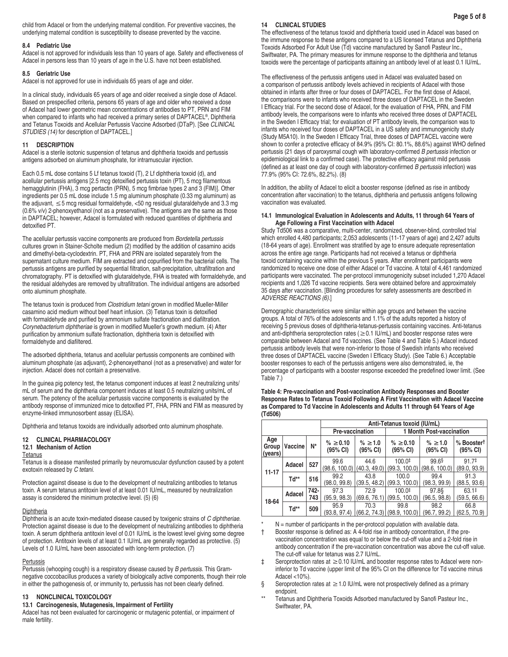child from Adacel or from the underlying maternal condition. For preventive vaccines, the underlying maternal condition is susceptibility to disease prevented by the vaccine.

#### **8.4 Pediatric Use**

Adacel is not approved for individuals less than 10 years of age. Safety and effectiveness of Adacel in persons less than 10 years of age in the U.S. have not been established.

### **8.5 Geriatric Use**

Adacel is not approved for use in individuals 65 years of age and older.

In a clinical study, individuals 65 years of age and older received a single dose of Adacel. Based on prespecified criteria, persons 65 years of age and older who received a dose of Adacel had lower geometric mean concentrations of antibodies to PT, PRN and FIM when compared to infants who had received a primary series of DAPTACEL<sup>®</sup>, Diphtheria and Tetanus Toxoids and Acellular Pertussis Vaccine Adsorbed (DTaP). [See *CLINICAL STUDIES (14)* for description of DAPTACEL.]

### **11 DESCRIPTION**

Adacel is a sterile isotonic suspension of tetanus and diphtheria toxoids and pertussis antigens adsorbed on aluminum phosphate, for intramuscular injection.

Each 0.5 mL dose contains 5 Lf tetanus toxoid (T), 2 Lf diphtheria toxoid (d), and acellular pertussis antigens [2.5 mcg detoxified pertussis toxin (PT), 5 mcg filamentous hemagglutinin (FHA), 3 mcg pertactin (PRN), 5 mcg fimbriae types 2 and 3 (FIM)]. Other ingredients per 0.5 mL dose include 1.5 mg aluminum phosphate (0.33 mg aluminum) as the adjuvant, ≤5 mcg residual formaldehyde, <50 ng residual glutaraldehyde and 3.3 mg (0.6% v/v) 2-phenoxyethanol (not as a preservative). The antigens are the same as those in DAPTACEL; however, Adacel is formulated with reduced quantities of diphtheria and detoxified PT.

The acellular pertussis vaccine components are produced from *Bordetella pertussis* cultures grown in Stainer-Scholte medium (2) modified by the addition of casamino acids and dimethyl-beta-cyclodextrin. PT, FHA and PRN are isolated separately from the supernatant culture medium. FIM are extracted and copurified from the bacterial cells. The pertussis antigens are purified by sequential filtration, salt-precipitation, ultrafiltration and chromatography. PT is detoxified with glutaraldehyde, FHA is treated with formaldehyde, and the residual aldehydes are removed by ultrafiltration. The individual antigens are adsorbed onto aluminum phosphate.

The tetanus toxin is produced from *Clostridium tetani* grown in modified Mueller-Miller casamino acid medium without beef heart infusion. (3) Tetanus toxin is detoxified with formaldehyde and purified by ammonium sulfate fractionation and diafiltration. *Corynebacterium diphtheriae* is grown in modified Mueller's growth medium. (4) After purification by ammonium sulfate fractionation, diphtheria toxin is detoxified with formaldehyde and diafiltered.

The adsorbed diphtheria, tetanus and acellular pertussis components are combined with aluminum phosphate (as adjuvant), 2-phenoxyethanol (not as a preservative) and water for injection. Adacel does not contain a preservative.

In the guinea pig potency test, the tetanus component induces at least 2 neutralizing units/ mL of serum and the diphtheria component induces at least 0.5 neutralizing units/mL of serum. The potency of the acellular pertussis vaccine components is evaluated by the antibody response of immunized mice to detoxified PT, FHA, PRN and FIM as measured by enzyme-linked immunosorbent assay (ELISA).

Diphtheria and tetanus toxoids are individually adsorbed onto aluminum phosphate.

### **12 CLINICAL PHARMACOLOGY**

# **12.1 Mechanism of Action**

**Tetanus** 

Tetanus is a disease manifested primarily by neuromuscular dysfunction caused by a potent exotoxin released by *C tetani*.

Protection against disease is due to the development of neutralizing antibodies to tetanus toxin. A serum tetanus antitoxin level of at least 0.01 IU/mL, measured by neutralization assay is considered the minimum protective level. (5) (6)

### **Diphtheria**

Diphtheria is an acute toxin-mediated disease caused by toxigenic strains of *C diphtheriae*. Protection against disease is due to the development of neutralizing antibodies to diphtheria toxin. A serum diphtheria antitoxin level of 0.01 IU/mL is the lowest level giving some degree of protection. Antitoxin levels of at least 0.1 IU/mL are generally regarded as protective. (5) Levels of 1.0 IU/mL have been associated with long-term protection. (7)

#### Pertussis

Pertussis (whooping cough) is a respiratory disease caused by *B pertussis*. This Gramnegative coccobacillus produces a variety of biologically active components, though their role in either the pathogenesis of, or immunity to, pertussis has not been clearly defined.

# **13 NONCLINICAL TOXICOLOGY**

#### **13.1 Carcinogenesis, Mutagenesis, Impairment of Fertility**

Adacel has not been evaluated for carcinogenic or mutagenic potential, or impairment of male fertility.

#### **14 CLINICAL STUDIES**

The effectiveness of the tetanus toxoid and diphtheria toxoid used in Adacel was based on the immune response to these antigens compared to a US licensed Tetanus and Diphtheria Toxoids Adsorbed For Adult Use (Td) vaccine manufactured by Sanofi Pasteur Inc., Swiftwater, PA. The primary measures for immune response to the diphtheria and tetanus toxoids were the percentage of participants attaining an antibody level of at least 0.1 IU/mL.

The effectiveness of the pertussis antigens used in Adacel was evaluated based on a comparison of pertussis antibody levels achieved in recipients of Adacel with those obtained in infants after three or four doses of DAPTACEL. For the first dose of Adacel, the comparisons were to infants who received three doses of DAPTACEL in the Sweden I Efficacy trial. For the second dose of Adacel, for the evaluation of FHA, PRN, and FIM antibody levels, the comparisons were to infants who received three doses of DAPTACEL in the Sweden I Efficacy trial; for evaluation of PT antibody levels, the comparison was to infants who received four doses of DAPTACEL in a US safety and immunogenicity study (Study M5A10). In the Sweden I Efficacy Trial, three doses of DAPTACEL vaccine were shown to confer a protective efficacy of 84.9% (95% CI: 80.1%, 88.6%) against WHO defined pertussis (21 days of paroxysmal cough with laboratory-confirmed *B pertussis* infection or epidemiological link to a confirmed case). The protective efficacy against mild pertussis (defined as at least one day of cough with laboratory-confirmed *B pertussis* infection) was 77.9% (95% CI: 72.6%, 82.2%). (8)

In addition, the ability of Adacel to elicit a booster response (defined as rise in antibody concentration after vaccination) to the tetanus, diphtheria and pertussis antigens following vaccination was evaluated.

#### **14.1 Immunological Evaluation in Adolescents and Adults, 11 through 64 Years of Age Following a First Vaccination with Adacel**

Study Td506 was a comparative, multi-center, randomized, observer-blind, controlled trial which enrolled 4,480 participants; 2,053 adolescents (11-17 years of age) and 2,427 adults (18-64 years of age). Enrollment was stratified by age to ensure adequate representation across the entire age range. Participants had not received a tetanus or diphtheria toxoid containing vaccine within the previous 5 years. After enrollment participants were randomized to receive one dose of either Adacel or Td vaccine. A total of 4,461 randomized participants were vaccinated. The per-protocol immunogenicity subset included 1,270 Adacel recipients and 1,026 Td vaccine recipients. Sera were obtained before and approximately 35 days after vaccination. [Blinding procedures for safety assessments are described in *ADVERSE REACTIONS (6)*.]

Demographic characteristics were similar within age groups and between the vaccine groups. A total of 76% of the adolescents and 1.1% of the adults reported a history of receiving 5 previous doses of diphtheria-tetanus-pertussis containing vaccines. Anti-tetanus and anti-diphtheria seroprotection rates ( $\geq$  0.1 IU/mL) and booster response rates were comparable between Adacel and Td vaccines. (See Table 4 and Table 5.) Adacel induced pertussis antibody levels that were non-inferior to those of Swedish infants who received three doses of DAPTACEL vaccine (Sweden I Efficacy Study). (See Table 6.) Acceptable booster responses to each of the pertussis antigens were also demonstrated, ie, the percentage of participants with a booster response exceeded the predefined lower limit. (See Table 7.)

| 1.49997                 |               |             |                             |                               |                                      |                               |                                    |  |  |
|-------------------------|---------------|-------------|-----------------------------|-------------------------------|--------------------------------------|-------------------------------|------------------------------------|--|--|
|                         |               |             | Anti-Tetanus toxoid (IU/mL) |                               |                                      |                               |                                    |  |  |
|                         |               |             | <b>Pre-vaccination</b>      |                               | 1 Month Post-vaccination             |                               |                                    |  |  |
| Age<br>Group<br>(years) | N*<br>Vaccine |             | % ≥ 0.10<br>(95% CI)        | % > 1.0<br>$(95% \text{ Cl})$ | % > 0.10<br>$(95% \text{ Cl})$       | % ≥ 1.0<br>$(95% \text{ Cl})$ | % Booster <sup>t</sup><br>(95% CI) |  |  |
| $11 - 17$               | Adacel        | 527         | 99.6<br>(98.6, 100.0)       | 44.6<br>(40.3, 49.0)          | 100.0 <sup>‡</sup><br>(99.3, 100.0)  | 99.6<br>(98.6, 100.0)         | 91.7 <sup>‡</sup><br>(89.0, 93.9)  |  |  |
|                         | Td**          | 516         | 99.2<br>(98.0, 99.8)        | 43.8<br>(39.5, 48.2)          | 100.0<br>(99.3, 100.0)               | 99.4<br>(98.3, 99.9)          | 91.3<br>(88.5, 93.6)               |  |  |
| Adacel                  |               | 742-<br>743 | 97.3<br>(95.9, 98.3)        | 72.9<br>(69.6, 76.1)          | 100.0 <sup>‡</sup><br>(99.5, 100.0)  | 97.88<br>(96.5, 98.8)         | $63.1^{\ddagger}$<br>(59.5, 66.6)  |  |  |
| 18-64                   | Td**          | 509         | 95.9<br>(93.8, 97.4)        | 70.3                          | 99.8<br>$(66.2, 74.3)$ (98.9, 100.0) | 98.2<br>(96.7, 99.2)          | 66.8<br>(62.5, 70.9)               |  |  |

**Table 4: Pre-vaccination and Post-vaccination Antibody Responses and Booster Response Rates to Tetanus Toxoid Following A First Vaccination with Adacel Vaccine as Compared to Td Vaccine in Adolescents and Adults 11 through 64 Years of Age (Td506)**

 $N$  = number of participants in the per-protocol population with available data.

† Booster response is defined as: A 4-fold rise in antibody concentration, if the prevaccination concentration was equal to or below the cut-off value and a 2-fold rise in antibody concentration if the pre-vaccination concentration was above the cut-off value. The cut-off value for tetanus was 2.7 IU/mL.

‡ Seroprotection rates at ≥0.10 IU/mL and booster response rates to Adacel were noninferior to Td vaccine (upper limit of the 95% CI on the difference for Td vaccine minus Adacel <10%).

§ Seroprotection rates at  $\geq$  1.0 IU/mL were not prospectively defined as a primary endpoint.

\*\* Tetanus and Diphtheria Toxoids Adsorbed manufactured by Sanofi Pasteur Inc., Swiftwater, PA.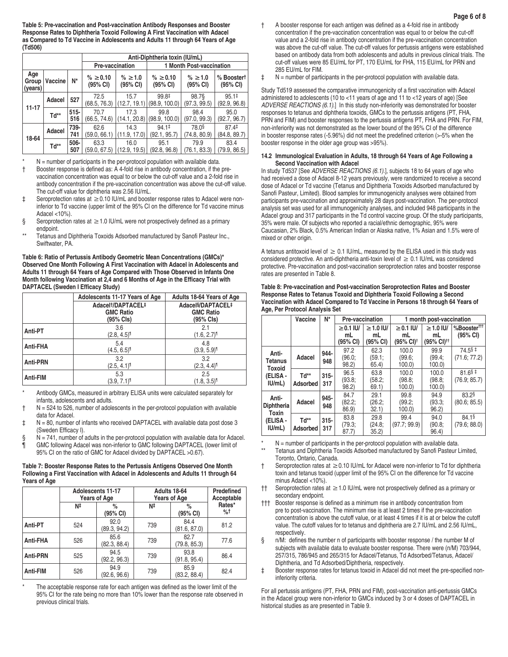**Table 5: Pre-vaccination and Post-vaccination Antibody Responses and Booster Response Rates to Diphtheria Toxoid Following A First Vaccination with Adacel as Compared to Td Vaccine in Adolescents and Adults 11 through 64 Years of Age (Td506)**

|                         |         |                | Anti-Diphtheria toxin (IU/mL) |                                    |                                       |                                    |                                   |  |  |  |
|-------------------------|---------|----------------|-------------------------------|------------------------------------|---------------------------------------|------------------------------------|-----------------------------------|--|--|--|
|                         |         |                | Pre-vaccination               |                                    |                                       | 1 Month Post-vaccination           |                                   |  |  |  |
| Age<br>Group<br>(years) | Vaccine | N*             | % ≥ 0.10<br>(95% CI)          | $% \geq 1.0$<br>$(95% \text{ Cl})$ | $% \geq 0.10$<br>$(95% \, \text{Cl})$ | $% \geq 1.0$<br>$(95% \text{ Cl})$ | % Boostert<br>(95% CI)            |  |  |  |
|                         | Adacel  | 527            | 72.5<br>(68.5, 76.3)          | 15.7<br>(12.7, 19.1)               | 99.8‡<br>(98.9, 100.0)                | 98.7§<br>(97.3, 99.5)              | $95.1^{\ddagger}$<br>(92.9, 96.8) |  |  |  |
| 11-17<br>Td**           |         | $515 -$<br>516 | 70.7<br>(66.5, 74.6)          | 17.3<br>(14.1, 20.8)               | 99.8<br>(98.9, 100.0)                 | 98.4<br>(97.0, 99.3)               | 95.0<br>(92.7, 96.7)              |  |  |  |
| Adacel                  |         | 739-<br>741    | 62.6<br>(59.0, 66.1)          | 14.3<br>(11.9, 17.0)               | 94.1 <sup>‡</sup><br>(92.1, 95.7)     | 78.0 <sup>§</sup><br>(74.8, 80.9)  | $87.4^{\ddagger}$<br>(84.8, 89.7) |  |  |  |
| 18-64                   | Td**    | 506-<br>507    | 63.3<br>(59.0, 67.5)          | 16.0<br>(12.9, 19.5)               | 95.1<br>(92.8, 96.8)                  | 79.9<br>(76.1, 83.3)               | 83.4<br>(79.9, 86.5)              |  |  |  |

 $N$  = number of participants in the per-protocol population with available data.

† Booster response is defined as: A 4-fold rise in antibody concentration, if the prevaccination concentration was equal to or below the cut-off value and a 2-fold rise in antibody concentration if the pre-vaccination concentration was above the cut-off value. The cut-off value for diphtheria was 2.56 IU/mL.

- ‡ Seroprotection rates at ≥0.10 IU/mL and booster response rates to Adacel were noninferior to Td vaccine (upper limit of the 95% CI on the difference for Td vaccine minus Adacel <10%).
- § Seroprotection rates at  $\geq$  1.0 IU/mL were not prospectively defined as a primary endpoint.
- Tetanus and Diphtheria Toxoids Adsorbed manufactured by Sanofi Pasteur Inc., Swiftwater, PA.

**Table 6: Ratio of Pertussis Antibody Geometric Mean Concentrations (GMCs)\* Observed One Month Following A First Vaccination with Adacel in Adolescents and Adults 11 through 64 Years of Age Compared with Those Observed in Infants One Month following Vaccination at 2,4 and 6 Months of Age in the Efficacy Trial with DAPTACEL (Sweden I Efficacy Study)**

|                 | Adolescents 11-17 Years of Age                                              | Adults 18-64 Years of Age                                                              |
|-----------------|-----------------------------------------------------------------------------|----------------------------------------------------------------------------------------|
|                 | Adacel <sup>t</sup> /DAPTACEL <sup>‡</sup><br><b>GMC Ratio</b><br>(95% Cls) | Adacel <sup>§</sup> /DAPTACEL <sup>‡</sup><br><b>GMC Ratio</b><br>$(95\% \text{ Cls})$ |
| Anti-PT         | 3.6<br>$(2.8, 4.5)$ <sup>1</sup>                                            | 2.1<br>$(1.6, 2.7)^{1}$                                                                |
| Anti-FHA        | 5.4<br>$(4.5, 6.5)^{\mathbb{1}}$                                            | 4.8<br>$(3.9, 5.9)^{\text{T}}$                                                         |
| <b>Anti-PRN</b> | 3.2<br>$(2.5, 4.1)$ <sup>1</sup>                                            | 3.2<br>$(2.3, 4.4)$ <sup>1</sup>                                                       |
| <b>Anti-FIM</b> | 5.3<br>$(3.9, 7.1)^{1}$                                                     | 2.5<br>$(1.8, 3.5)$ <sup>1</sup>                                                       |

Antibody GMCs, measured in arbitrary ELISA units were calculated separately for infants, adolescents and adults.

 $N = 524$  to 526, number of adolescents in the per-protocol population with available data for Adacel.

- ‡ N = 80, number of infants who received DAPTACEL with available data post dose 3 (Sweden Efficacy I).
- § N = 741, number of adults in the per-protocol population with available data for Adacel. ¶ GMC following Adacel was non-inferior to GMC following DAPTACEL (lower limit of 95% CI on the ratio of GMC for Adacel divided by DAPTACEL >0.67).

#### **Table 7: Booster Response Rates to the Pertussis Antigens Observed One Month Following a First Vaccination with Adacel in Adolescents and Adults 11 through 64 Years of Age**

|                 |     | <b>Adolescents 11-17</b><br><b>Years of Age</b> | Adults 18-64<br><b>Years of Age</b> | Predefined<br>Acceptable |              |
|-----------------|-----|-------------------------------------------------|-------------------------------------|--------------------------|--------------|
|                 | N‡  | %<br>(95% CI)                                   | N‡                                  | $\%$<br>(95% CI)         | Rates*<br>%† |
| Anti-PT         | 524 | 92.0<br>(89.3, 94.2)                            | 739                                 | 84.4<br>(81.6, 87.0)     | 81.2         |
| Anti-FHA        | 526 | 85.6<br>(82.3, 88.4)                            | 739                                 | 82.7<br>(79.8, 85.3)     | 77.6         |
| <b>Anti-PRN</b> | 525 | 94.5<br>(92.2, 96.3)                            | 739                                 | 93.8<br>(91.8, 95.4)     | 86.4         |
| <b>Anti-FIM</b> | 526 | 94.9<br>(92.6, 96.6)                            | 739                                 | 85.9<br>(83.2, 88.4)     | 82.4         |

The acceptable response rate for each antigen was defined as the lower limit of the 95% CI for the rate being no more than 10% lower than the response rate observed in previous clinical trials.

- † A booster response for each antigen was defined as a 4-fold rise in antibody concentration if the pre-vaccination concentration was equal to or below the cut-off value and a 2-fold rise in antibody concentration if the pre-vaccination concentration was above the cut-off value. The cut-off values for pertussis antigens were established based on antibody data from both adolescents and adults in previous clinical trials. The cut-off values were 85 EU/mL for PT, 170 EU/mL for FHA, 115 EU/mL for PRN and 285 EU/mL for FIM.
- ‡ N = number of participants in the per-protocol population with available data.

Study Td519 assessed the comparative immunogenicity of a first vaccination with Adacel administered to adolescents (10 to <11 years of age and 11 to <12 years of age) [See *ADVERSE REACTIONS (6.1)*.] In this study non-inferiority was demonstrated for booster responses to tetanus and diphtheria toxoids, GMCs to the pertussis antigens (PT, FHA, PRN and FIM) and booster responses to the pertussis antigens PT, FHA and PRN. For FIM, non-inferiority was not demonstrated as the lower bound of the 95% CI of the difference in booster response rates (-5.96%) did not meet the predefined criterion (>-5% when the booster response in the older age group was >95%).

#### **14.2 Immunological Evaluation in Adults, 18 through 64 Years of Age Following a Second Vaccination with Adacel**

In study Td537 [See *ADVERSE REACTIONS (6.1)*.], subjects 18 to 64 years of age who had received a dose of Adacel 8-12 years previously, were randomized to receive a second dose of Adacel or Td vaccine (Tetanus and Diphtheria Toxoids Adsorbed manufactured by Sanofi Pasteur, Limited). Blood samples for immunogenicity analyses were obtained from participants pre-vaccination and approximately 28 days post-vaccination. The per-protocol analysis set was used for all immunogenicity analyses, and included 948 participants in the Adacel group and 317 participants in the Td control vaccine group. Of the study participants, 35% were male. Of subjects who reported a racial/ethnic demographic, 95% were Caucasian, 2% Black, 0.5% American Indian or Alaska native, 1% Asian and 1.5% were of mixed or other origin.

A tetanus antitoxoid level of  $\geq 0.1$  IU/mL, measured by the ELISA used in this study was considered protective. An anti-diphtheria anti-toxin level of  $\geq 0.1$  IU/mL was considered protective. Pre-vaccination and post-vaccination seroprotection rates and booster response rates are presented in Table 8.

| Table 8: Pre-vaccination and Post-vaccination Seroprotection Rates and Booster   |
|----------------------------------------------------------------------------------|
| Response Rates to Tetanus Toxoid and Diphtheria Toxoid Following a Second        |
| Vaccination with Adacel Compared to Td Vaccine in Persons 18 through 64 Years of |
| Age, Per Protocol Analysis Set                                                   |

|                                                              | Vaccine          | N*             | Pre-vaccination                   |                                  | 1 month post-vaccination          |                                                |                                     |
|--------------------------------------------------------------|------------------|----------------|-----------------------------------|----------------------------------|-----------------------------------|------------------------------------------------|-------------------------------------|
|                                                              |                  |                | $\geq$ 0.1 IU/<br>mL.<br>(95% CI) | $\geq$ 1.0 IU/<br>mL<br>(95% CI) | $\geq$ 0.1 IU/<br>mL<br>(95% CI)† | $\geq$ 1.0 IU/<br>mL<br>(95% CI) <sup>††</sup> | %Booster <sup>†††</sup><br>(95% CI) |
| Anti-<br><b>Tetanus</b><br><b>Toxoid</b><br>(ELISA -<br>IUML | Adacel           | 944-<br>948    | 97.2<br>(96.0;<br>98.2            | 62.3<br>(59.1)<br>65.4)          | 100.0<br>(99.6;<br>100.0          | 99.9<br>(99.4;<br>100.0                        | 74.5 \$‡<br>(71.6; 77.2)            |
|                                                              | Td**<br>Adsorbed | $315 -$<br>317 | 96.5<br>(93.8;<br>98.2)           | 63.8<br>(58.2;<br>69.1)          | 100.0<br>(98.8;<br>100.0          | 100.0<br>(98.8)<br>100.0)                      | $81.6$ \$ ‡<br>(76.9; 85.7)         |
| Anti-<br><b>Diphtheria</b>                                   | Adacel           | 945-<br>948    | 84.7<br>(82.2;<br>86.9            | 29.1<br>(26.2)<br>32.1)          | 99.8<br>(99.2;<br>100.0           | 94.9<br>(93.3;<br>96.2)                        | 83.2<br>(80.6; 85.5)                |
| Toxin<br>(ELISA -<br>IUML                                    | Td**<br>Adsorbed | $315 -$<br>317 | 83.8<br>(79.3;<br>87.7)           | 29.8<br>(24.8;<br>35.2)          | 99.4<br>(97.7; 99.9)              | 94.0<br>(90.8;<br>96.4)                        | 84.1<br>(79.6; 88.0)                |

 $N$  = number of participants in the per-protocol population with available data.

Tetanus and Diphtheria Toxoids Adsorbed manufactured by Sanofi Pasteur Limited, Toronto, Ontario, Canada.

- † Seroprotection rates at ≥0.10 IU/mL for Adacel were non-inferior to Td for diphtheria toxin and tetanus toxoid (upper limit of the 95% CI on the difference for Td vaccine minus Adacel <10%).
- †† Seroprotection rates at ≥1.0 IU/mL were not prospectively defined as a primary or secondary endpoint.
- ††† Booster response is defined as a minimum rise in antibody concentration from pre to post-vaccination. The minimum rise is at least 2 times if the pre-vaccination concentration is above the cutoff value, or at least 4 times if it is at or below the cutoff value. The cutoff values for to tetanus and diphtheria are 2.7 IU/mL and 2.56 IU/mL, respectively.
- § n/M: defines the number n of participants with booster response / the number M of subjects with available data to evaluate booster response. There were (n/M) 703/944, 257/315, 786/945 and 265/315 for Adacel/Tetanus, Td Adsorbed/Tetanus, Adacel/ Diphtheria, and Td Adsorbed/Diphtheria, respectively.
- ‡ Booster response rates for tetanus toxoid in Adacel did not meet the pre-specified noninferiority criteria.

For all pertussis antigens (PT, FHA, PRN and FIM), post-vaccination anti-pertussis GMCs in the Adacel group were non-inferior to GMCs induced by 3 or 4 doses of DAPTACEL in historical studies as are presented in Table 9.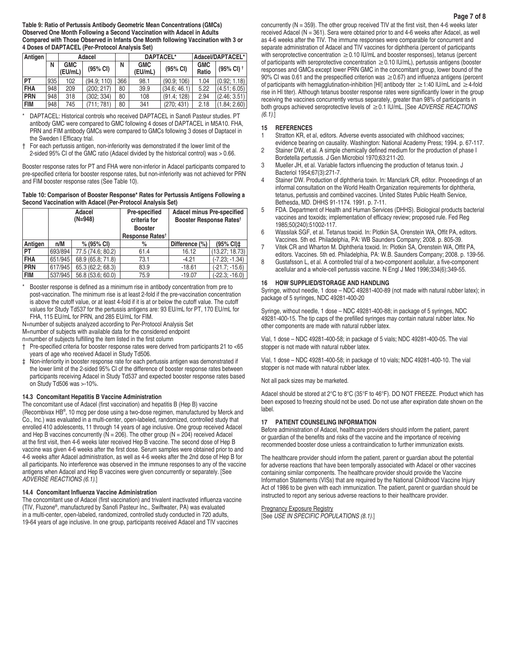#### **Table 9: Ratio of Pertussis Antibody Geometric Mean Concentrations (GMCs) Observed One Month Following a Second Vaccination with Adacel in Adults Compared with Those Observed in Infants One Month following Vaccination with 3 or 4 Doses of DAPTACEL (Per-Protocol Analysis Set)**

| Antigen    |     |                       | Adacel     |     |                       | DAPTACEL*    | Adacel/DAPTACEL*    |                       |  |
|------------|-----|-----------------------|------------|-----|-----------------------|--------------|---------------------|-----------------------|--|
|            | N   | <b>GMC</b><br>(EU/mL) | (95% CI)   | N   | <b>GMC</b><br>(EU/mL) | (95% CI)     | <b>GMC</b><br>Ratio | (95% CI) <sup>+</sup> |  |
| PT         | 935 | 102                   | (94.9:110) | 366 | 98.1                  | (90.9:106)   | 1.04                | (0.92: 1.18)          |  |
| <b>FHA</b> | 948 | 209                   | (200:217)  | 80  | 39.9                  | (34.6; 46.1) | 5.22                | (4.51; 6.05)          |  |
| <b>PRN</b> | 948 | 318                   | (302: 334) | 80  | 108                   | (91.4: 128)  | 2.94                | (2.46; 3.51)          |  |
| <b>FIM</b> | 948 | 745                   | (711: 781) | 80  | 341                   | (270; 431)   | 2.18                | (1.84; 2.60)          |  |

\* DAPTACEL: Historical controls who received DAPTACEL in Sanofi Pasteur studies. PT antibody GMC were compared to GMC following 4 doses of DAPTACEL in M5A10. FHA, PRN and FIM antibody GMCs were compared to GMCs following 3 doses of Daptacel in the Sweden I Efficacy trial.

† For each pertussis antigen, non-inferiority was demonstrated if the lower limit of the 2-sided 95% CI of the GMC ratio (Adacel divided by the historical control) was > 0.66.

Booster response rates for PT and FHA were non-inferior in Adacel participants compared to pre-specified criteria for booster response rates, but non-inferiority was not achieved for PRN and FIM booster response rates (See Table 10).

#### **Table 10: Comparison of Booster Response\* Rates for Pertussis Antigens Following a Second Vaccination with Adacel (Per-Protocol Analysis Set)**

|            | Adacel<br>$(N=948)$ |                       | <b>Pre-specified</b><br>criteria for<br><b>Booster</b><br>Response Rates <sup>t</sup> | <b>Adacel minus Pre-specified</b><br>Booster Response Rates <sup>t</sup> |                             |
|------------|---------------------|-----------------------|---------------------------------------------------------------------------------------|--------------------------------------------------------------------------|-----------------------------|
| Antigen    | n/M                 | $% (95\% \text{ Cl})$ | %                                                                                     | Difference (%)                                                           | $(95\% \text{ Cl})\ddagger$ |
| PT         | 693/894             | 77.5 (74.6; 80.2)     | 61.4                                                                                  | 16.12                                                                    | (13.27; 18.73)              |
| <b>FHA</b> | 651/945             | 68.9 (65.8; 71.8)     | 73.1                                                                                  | $-4.21$                                                                  | $(-7.23; -1.34)$            |
| <b>PRN</b> | 617/945             | 65.3 (62.2; 68.3)     | 83.9                                                                                  | $-18.61$                                                                 | $(-21.7; -15.6)$            |
| <b>FIM</b> | 537/945             | 56.8 (53.6; 60.0)     | 75.9                                                                                  | $-19.07$                                                                 | $(-22.3; -16.0)$            |

Booster response is defined as a minimum rise in antibody concentration from pre to post-vaccination. The minimum rise is at least 2-fold if the pre-vaccination concentration is above the cutoff value, or at least 4-fold if it is at or below the cutoff value. The cutoff values for Study Td537 for the pertussis antigens are: 93 EU/mL for PT, 170 EU/mL for FHA, 115 EU/mL for PRN, and 285 EU/mL for FIM.

N=number of subjects analyzed according to Per-Protocol Analysis Set M=number of subjects with available data for the considered endpoint

n=number of subjects fulfilling the item listed in the first column

- † Pre-specified criteria for booster response rates were derived from participants 21 to <65 years of age who received Adacel in Study Td506.
- ‡ Non-inferiority in booster response rate for each pertussis antigen was demonstrated if the lower limit of the 2-sided 95% CI of the difference of booster response rates between participants receiving Adacel in Study Td537 and expected booster response rates based on Study Td506 was >-10%.

### **14.3 Concomitant Hepatitis B Vaccine Administration**

The concomitant use of Adacel (first vaccination) and hepatitis B (Hep B) vaccine (Recombivax HB®, 10 mcg per dose using a two-dose regimen, manufactured by Merck and Co., Inc.) was evaluated in a multi-center, open-labeled, randomized, controlled study that enrolled 410 adolescents, 11 through 14 years of age inclusive. One group received Adacel and Hep B vaccines concurrently ( $\dot{N} = 206$ ). The other group ( $N = 204$ ) received Adacel at the first visit, then 4-6 weeks later received Hep B vaccine. The second dose of Hep B vaccine was given 4-6 weeks after the first dose. Serum samples were obtained prior to and 4-6 weeks after Adacel administration, as well as 4-6 weeks after the 2nd dose of Hep B for all participants. No interference was observed in the immune responses to any of the vaccine antigens when Adacel and Hep B vaccines were given concurrently or separately. [See *ADVERSE REACTIONS (6.1)*.]

#### **14.4 Concomitant Influenza Vaccine Administration**

The concomitant use of Adacel (first vaccination) and trivalent inactivated influenza vaccine (TIV, Fluzone®, manufactured by Sanofi Pasteur Inc., Swiftwater, PA) was evaluated in a multi-center, open-labeled, randomized, controlled study conducted in 720 adults, 19-64 years of age inclusive. In one group, participants received Adacel and TIV vaccines

concurrently ( $N = 359$ ). The other group received TIV at the first visit, then 4-6 weeks later received Adacel (N = 361). Sera were obtained prior to and 4-6 weeks after Adacel, as well as 4-6 weeks after the TIV. The immune responses were comparable for concurrent and separate administration of Adacel and TIV vaccines for diphtheria (percent of participants with seroprotective concentration  $\geq$  0.10 IU/mL and booster responses), tetanus (percent of participants with seroprotective concentration  $\geq$  0.10 IU/mL), pertussis antigens (booster responses and GMCs except lower PRN GMC in the concomitant group, lower bound of the 90% CI was 0.61 and the prespecified criterion was  $\geq$  0.67) and influenza antigens (percent of participants with hemagglutination-inhibition [HI] antibody titer ≥1:40 IU/mL and ≥4-fold rise in HI titer). Although tetanus booster response rates were significantly lower in the group receiving the vaccines concurrently versus separately, greater than 98% of participants in both groups achieved seroprotective levels of ≥0.1 IU/mL. [See *ADVERSE REACTIONS (6.1)*.]

### **15 REFERENCES**

- 1 Stratton KR, et al, editors. Adverse events associated with childhood vaccines;
- evidence bearing on causality. Washington: National Academy Press; 1994. p. 67-117. 2 Stainer DW, et al. A simple chemically defined medium for the production of phase I
- Bordetella pertussis. J Gen Microbiol 1970;63:211-20. 3 Mueller JH, et al. Variable factors influencing the production of tetanus toxin. J Bacteriol 1954;67(3):271-7.
- 4 Stainer DW. Production of diphtheria toxin. In: Manclark CR, editor. Proceedings of an informal consultation on the World Health Organization requirements for diphtheria, tetanus, pertussis and combined vaccines. United States Public Health Service, Bethesda, MD. DHHS 91-1174. 1991. p. 7-11.
- 5 FDA. Department of Health and Human Services (DHHS). Biological products bacterial vaccines and toxoids; implementation of efficacy review; proposed rule. Fed Reg 1985;50(240):51002-117.
- 6 Wassilak SGF, et al. Tetanus toxoid. In: Plotkin SA, Orenstein WA, Offit PA, editors. Vaccines. 5th ed. Philadelphia, PA: WB Saunders Company; 2008. p. 805-39.
- 7 Vitek CR and Wharton M. Diphtheria toxoid. In: Plotkin SA, Orenstein WA, Offit PA, editors. Vaccines. 5th ed. Philadelphia, PA: W.B. Saunders Company; 2008. p. 139-56.
- 8 Gustafsson L, et al. A controlled trial of a two-component acellular, a five-component acellular and a whole-cell pertussis vaccine. N Engl J Med 1996;334(6):349-55.

## **16 HOW SUPPLIED/STORAGE AND HANDLING**

Syringe, without needle, 1 dose – NDC 49281-400-89 (not made with natural rubber latex); in package of 5 syringes, NDC 49281-400-20

Syringe, without needle, 1 dose – NDC 49281-400-88; in package of 5 syringes, NDC 49281-400-15. The tip caps of the prefilled syringes may contain natural rubber latex. No other components are made with natural rubber latex.

Vial, 1 dose – NDC 49281-400-58; in package of 5 vials; NDC 49281-400-05. The vial stopper is not made with natural rubber latex.

Vial, 1 dose – NDC 49281-400-58; in package of 10 vials; NDC 49281-400-10. The vial stopper is not made with natural rubber latex.

Not all pack sizes may be marketed.

Adacel should be stored at 2°C to 8°C (35°F to 46°F). DO NOT FREEZE. Product which has been exposed to freezing should not be used. Do not use after expiration date shown on the label.

#### **17 PATIENT COUNSELING INFORMATION**

Before administration of Adacel, healthcare providers should inform the patient, parent or guardian of the benefits and risks of the vaccine and the importance of receiving recommended booster dose unless a contraindication to further immunization exists.

The healthcare provider should inform the patient, parent or guardian about the potential for adverse reactions that have been temporally associated with Adacel or other vaccines containing similar components. The healthcare provider should provide the Vaccine Information Statements (VISs) that are required by the National Childhood Vaccine Injury Act of 1986 to be given with each immunization. The patient, parent or guardian should be instructed to report any serious adverse reactions to their healthcare provider.

#### Pregnancy Exposure Registry

[See *USE IN SPECIFIC POPULATIONS (8.1)*.]